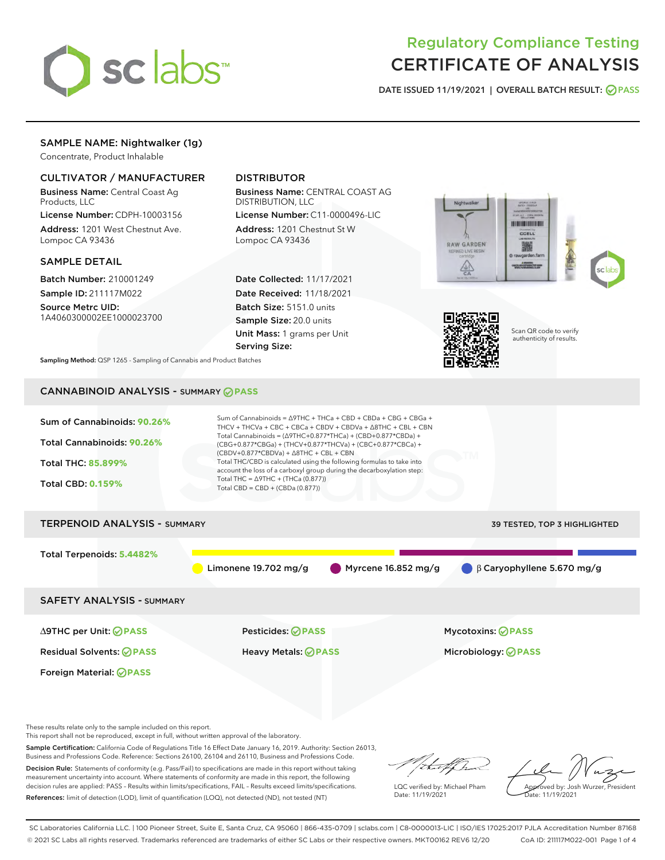

# Regulatory Compliance Testing CERTIFICATE OF ANALYSIS

DATE ISSUED 11/19/2021 | OVERALL BATCH RESULT: @ PASS

#### SAMPLE NAME: Nightwalker (1g)

Concentrate, Product Inhalable

#### CULTIVATOR / MANUFACTURER

Business Name: Central Coast Ag Products, LLC

License Number: CDPH-10003156 Address: 1201 West Chestnut Ave. Lompoc CA 93436

#### SAMPLE DETAIL

Batch Number: 210001249 Sample ID: 211117M022

Source Metrc UID: 1A4060300002EE1000023700

#### DISTRIBUTOR

Business Name: CENTRAL COAST AG DISTRIBUTION, LLC

License Number: C11-0000496-LIC Address: 1201 Chestnut St W Lompoc CA 93436

Date Collected: 11/17/2021 Date Received: 11/18/2021 Batch Size: 5151.0 units Sample Size: 20.0 units Unit Mass: 1 grams per Unit Serving Size:





Scan QR code to verify authenticity of results.

Sampling Method: QSP 1265 - Sampling of Cannabis and Product Batches

## CANNABINOID ANALYSIS - SUMMARY **PASS**



Sample Certification: California Code of Regulations Title 16 Effect Date January 16, 2019. Authority: Section 26013, Business and Professions Code. Reference: Sections 26100, 26104 and 26110, Business and Professions Code.

Decision Rule: Statements of conformity (e.g. Pass/Fail) to specifications are made in this report without taking measurement uncertainty into account. Where statements of conformity are made in this report, the following decision rules are applied: PASS – Results within limits/specifications, FAIL – Results exceed limits/specifications. References: limit of detection (LOD), limit of quantification (LOQ), not detected (ND), not tested (NT)

that f(ha

LQC verified by: Michael Pham Date: 11/19/2021

Approved by: Josh Wurzer, President Date: 11/19/2021

SC Laboratories California LLC. | 100 Pioneer Street, Suite E, Santa Cruz, CA 95060 | 866-435-0709 | sclabs.com | C8-0000013-LIC | ISO/IES 17025:2017 PJLA Accreditation Number 87168 © 2021 SC Labs all rights reserved. Trademarks referenced are trademarks of either SC Labs or their respective owners. MKT00162 REV6 12/20 CoA ID: 211117M022-001 Page 1 of 4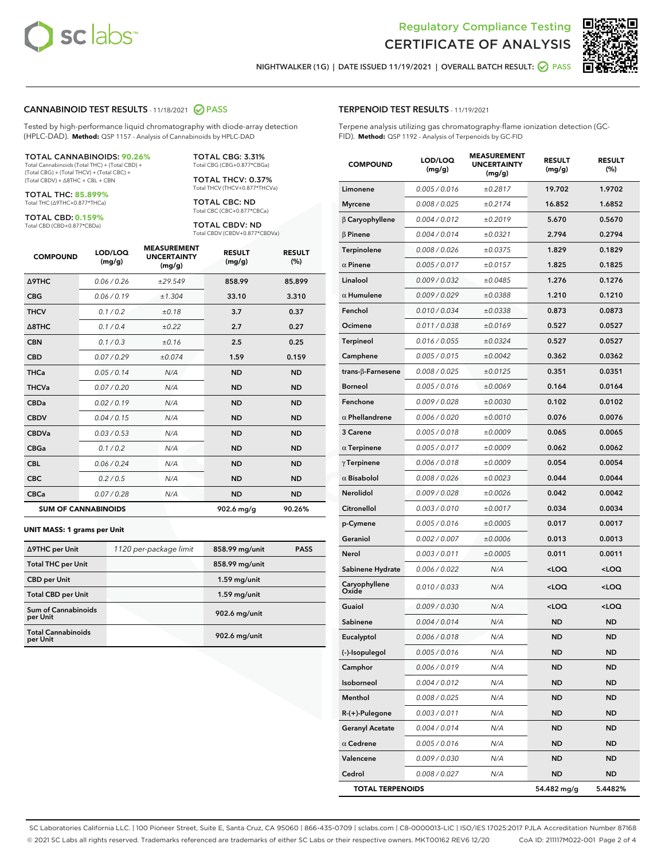



NIGHTWALKER (1G) | DATE ISSUED 11/19/2021 | OVERALL BATCH RESULT: **○** PASS

#### CANNABINOID TEST RESULTS - 11/18/2021 2 PASS

Tested by high-performance liquid chromatography with diode-array detection (HPLC-DAD). **Method:** QSP 1157 - Analysis of Cannabinoids by HPLC-DAD

#### TOTAL CANNABINOIDS: **90.26%**

Total Cannabinoids (Total THC) + (Total CBD) + (Total CBG) + (Total THCV) + (Total CBC) + (Total CBDV) + ∆8THC + CBL + CBN

TOTAL THC: **85.899%** Total THC (∆9THC+0.877\*THCa)

TOTAL CBD: **0.159%**

Total CBD (CBD+0.877\*CBDa)

TOTAL CBG: 3.31% Total CBG (CBG+0.877\*CBGa)

TOTAL THCV: 0.37% Total THCV (THCV+0.877\*THCVa)

TOTAL CBC: ND Total CBC (CBC+0.877\*CBCa)

TOTAL CBDV: ND Total CBDV (CBDV+0.877\*CBDVa)

| <b>COMPOUND</b>  | LOD/LOQ<br>(mg/g)          | <b>MEASUREMENT</b><br><b>UNCERTAINTY</b><br>(mg/g) | <b>RESULT</b><br>(mg/g) | <b>RESULT</b><br>(%) |
|------------------|----------------------------|----------------------------------------------------|-------------------------|----------------------|
| <b>A9THC</b>     | 0.06 / 0.26                | ±29.549                                            | 858.99                  | 85.899               |
| <b>CBG</b>       | 0.06/0.19                  | ±1.304                                             | 33.10                   | 3.310                |
| <b>THCV</b>      | 0.1 / 0.2                  | ±0.18                                              | 3.7                     | 0.37                 |
| $\triangle$ 8THC | 0.1/0.4                    | ±0.22                                              | 2.7                     | 0.27                 |
| <b>CBN</b>       | 0.1/0.3                    | ±0.16                                              | 2.5                     | 0.25                 |
| <b>CBD</b>       | 0.07/0.29                  | ±0.074                                             | 1.59                    | 0.159                |
| <b>THCa</b>      | 0.05/0.14                  | N/A                                                | <b>ND</b>               | <b>ND</b>            |
| <b>THCVa</b>     | 0.07/0.20                  | N/A                                                | <b>ND</b>               | <b>ND</b>            |
| <b>CBDa</b>      | 0.02/0.19                  | N/A                                                | <b>ND</b>               | <b>ND</b>            |
| <b>CBDV</b>      | 0.04/0.15                  | N/A                                                | <b>ND</b>               | <b>ND</b>            |
| <b>CBDVa</b>     | 0.03/0.53                  | N/A                                                | <b>ND</b>               | <b>ND</b>            |
| <b>CBGa</b>      | 0.1/0.2                    | N/A                                                | <b>ND</b>               | <b>ND</b>            |
| <b>CBL</b>       | 0.06 / 0.24                | N/A                                                | <b>ND</b>               | <b>ND</b>            |
| <b>CBC</b>       | 0.2 / 0.5                  | N/A                                                | <b>ND</b>               | <b>ND</b>            |
| <b>CBCa</b>      | 0.07 / 0.28                | N/A                                                | <b>ND</b>               | <b>ND</b>            |
|                  | <b>SUM OF CANNABINOIDS</b> |                                                    | $902.6$ mg/g            | 90.26%               |

#### **UNIT MASS: 1 grams per Unit**

| ∆9THC per Unit                         | 1120 per-package limit | 858.99 mg/unit | <b>PASS</b> |
|----------------------------------------|------------------------|----------------|-------------|
| <b>Total THC per Unit</b>              |                        | 858.99 mg/unit |             |
| <b>CBD</b> per Unit                    |                        | $1.59$ mg/unit |             |
| <b>Total CBD per Unit</b>              |                        | $1.59$ mg/unit |             |
| <b>Sum of Cannabinoids</b><br>per Unit |                        | 902.6 mg/unit  |             |
| <b>Total Cannabinoids</b><br>per Unit  |                        | 902.6 mg/unit  |             |

| <b>COMPOUND</b>         | LOD/LOQ<br>(mg/g) | <b>MEASUREMENT</b><br><b>UNCERTAINTY</b><br>(mg/g) | <b>RESULT</b><br>(mg/g)                         | <b>RESULT</b><br>(%) |
|-------------------------|-------------------|----------------------------------------------------|-------------------------------------------------|----------------------|
| Limonene                | 0.005 / 0.016     | ±0.2817                                            | 19.702                                          | 1.9702               |
| <b>Myrcene</b>          | 0.008 / 0.025     | ±0.2174                                            | 16.852                                          | 1.6852               |
| $\beta$ Caryophyllene   | 0.004 / 0.012     | ±0.2019                                            | 5.670                                           | 0.5670               |
| $\beta$ Pinene          | 0.004 / 0.014     | ±0.0321                                            | 2.794                                           | 0.2794               |
| Terpinolene             | 0.008 / 0.026     | ±0.0375                                            | 1.829                                           | 0.1829               |
| $\alpha$ Pinene         | 0.005 / 0.017     | ±0.0157                                            | 1.825                                           | 0.1825               |
| Linalool                | 0.009 / 0.032     | ±0.0485                                            | 1.276                                           | 0.1276               |
| $\alpha$ Humulene       | 0.009 / 0.029     | ±0.0388                                            | 1.210                                           | 0.1210               |
| Fenchol                 | 0.010/0.034       | ±0.0338                                            | 0.873                                           | 0.0873               |
| Ocimene                 | 0.011 / 0.038     | ±0.0169                                            | 0.527                                           | 0.0527               |
| Terpineol               | 0.016 / 0.055     | ±0.0324                                            | 0.527                                           | 0.0527               |
| Camphene                | 0.005 / 0.015     | ±0.0042                                            | 0.362                                           | 0.0362               |
| trans-β-Farnesene       | 0.008 / 0.025     | ±0.0125                                            | 0.351                                           | 0.0351               |
| <b>Borneol</b>          | 0.005 / 0.016     | ±0.0069                                            | 0.164                                           | 0.0164               |
| Fenchone                | 0.009 / 0.028     | ±0.0030                                            | 0.102                                           | 0.0102               |
| $\alpha$ Phellandrene   | 0.006 / 0.020     | ±0.0010                                            | 0.076                                           | 0.0076               |
| 3 Carene                | 0.005 / 0.018     | ±0.0009                                            | 0.065                                           | 0.0065               |
| $\alpha$ Terpinene      | 0.005 / 0.017     | ±0.0009                                            | 0.062                                           | 0.0062               |
| $\gamma$ Terpinene      | 0.006 / 0.018     | ±0.0009                                            | 0.054                                           | 0.0054               |
| $\alpha$ Bisabolol      | 0.008 / 0.026     | ±0.0023                                            | 0.044                                           | 0.0044               |
| Nerolidol               | 0.009 / 0.028     | ±0.0026                                            | 0.042                                           | 0.0042               |
| Citronellol             | 0.003 / 0.010     | ±0.0017                                            | 0.034                                           | 0.0034               |
| p-Cymene                | 0.005 / 0.016     | ±0.0005                                            | 0.017                                           | 0.0017               |
| Geraniol                | 0.002 / 0.007     | ±0.0006                                            | 0.013                                           | 0.0013               |
| Nerol                   | 0.003 / 0.011     | ±0.0005                                            | 0.011                                           | 0.0011               |
| Sabinene Hydrate        | 0.006 / 0.022     | N/A                                                | <loq< th=""><th><loq< th=""></loq<></th></loq<> | <loq< th=""></loq<>  |
| Caryophyllene<br>Oxide  | 0.010 / 0.033     | N/A                                                | <loq< th=""><th><loq< th=""></loq<></th></loq<> | <loq< th=""></loq<>  |
| Guaiol                  | 0.009 / 0.030     | N/A                                                | <loq< th=""><th><loq< th=""></loq<></th></loq<> | <loq< th=""></loq<>  |
| Sabinene                | 0.004 / 0.014     | N/A                                                | <b>ND</b>                                       | <b>ND</b>            |
| Eucalyptol              | 0.006 / 0.018     | N/A                                                | <b>ND</b>                                       | ND                   |
| (-)-Isopulegol          | 0.005 / 0.016     | N/A                                                | ND                                              | ND                   |
| Camphor                 | 0.006 / 0.019     | N/A                                                | ND                                              | ND                   |
| Isoborneol              | 0.004 / 0.012     | N/A                                                | ND                                              | ND                   |
| Menthol                 | 0.008 / 0.025     | N/A                                                | ND                                              | ND                   |
| R-(+)-Pulegone          | 0.003 / 0.011     | N/A                                                | ND                                              | ND                   |
| <b>Geranyl Acetate</b>  | 0.004 / 0.014     | N/A                                                | ND                                              | ND                   |
| $\alpha$ Cedrene        | 0.005 / 0.016     | N/A                                                | ND                                              | ND                   |
| Valencene               | 0.009 / 0.030     | N/A                                                | ND                                              | ND                   |
| Cedrol                  | 0.008 / 0.027     | N/A                                                | ND                                              | ND                   |
| <b>TOTAL TERPENOIDS</b> |                   |                                                    | 54.482 mg/g                                     | 5.4482%              |

SC Laboratories California LLC. | 100 Pioneer Street, Suite E, Santa Cruz, CA 95060 | 866-435-0709 | sclabs.com | C8-0000013-LIC | ISO/IES 17025:2017 PJLA Accreditation Number 87168 © 2021 SC Labs all rights reserved. Trademarks referenced are trademarks of either SC Labs or their respective owners. MKT00162 REV6 12/20 CoA ID: 211117M022-001 Page 2 of 4

#### TERPENOID TEST RESULTS - 11/19/2021

Terpene analysis utilizing gas chromatography-flame ionization detection (GC-FID). **Method:** QSP 1192 - Analysis of Terpenoids by GC-FID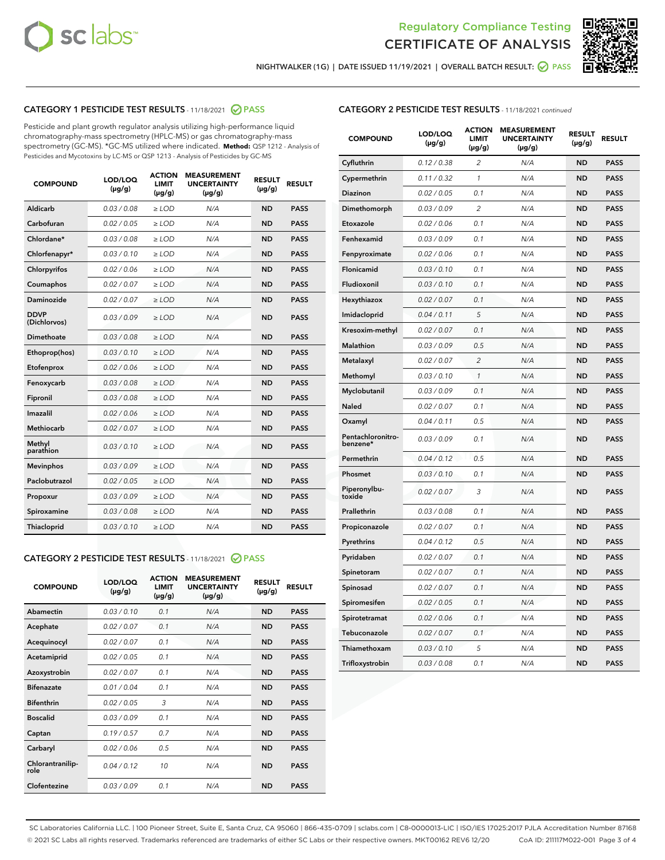



NIGHTWALKER (1G) | DATE ISSUED 11/19/2021 | OVERALL BATCH RESULT: ● PASS

## CATEGORY 1 PESTICIDE TEST RESULTS - 11/18/2021 2 PASS

Pesticide and plant growth regulator analysis utilizing high-performance liquid chromatography-mass spectrometry (HPLC-MS) or gas chromatography-mass spectrometry (GC-MS). \*GC-MS utilized where indicated. **Method:** QSP 1212 - Analysis of Pesticides and Mycotoxins by LC-MS or QSP 1213 - Analysis of Pesticides by GC-MS

| <b>COMPOUND</b>             | LOD/LOQ<br>$(\mu g/g)$ | <b>ACTION</b><br><b>LIMIT</b><br>$(\mu g/g)$ | <b>MEASUREMENT</b><br><b>UNCERTAINTY</b><br>$(\mu g/g)$ | <b>RESULT</b><br>$(\mu g/g)$ | <b>RESULT</b> |
|-----------------------------|------------------------|----------------------------------------------|---------------------------------------------------------|------------------------------|---------------|
| Aldicarb                    | 0.03 / 0.08            | $\ge$ LOD                                    | N/A                                                     | <b>ND</b>                    | <b>PASS</b>   |
| Carbofuran                  | 0.02/0.05              | $>$ LOD                                      | N/A                                                     | <b>ND</b>                    | <b>PASS</b>   |
| Chlordane*                  | 0.03 / 0.08            | $\ge$ LOD                                    | N/A                                                     | <b>ND</b>                    | <b>PASS</b>   |
| Chlorfenapyr*               | 0.03/0.10              | $\ge$ LOD                                    | N/A                                                     | <b>ND</b>                    | <b>PASS</b>   |
| Chlorpyrifos                | 0.02 / 0.06            | $\ge$ LOD                                    | N/A                                                     | <b>ND</b>                    | <b>PASS</b>   |
| Coumaphos                   | 0.02 / 0.07            | $>$ LOD                                      | N/A                                                     | <b>ND</b>                    | <b>PASS</b>   |
| Daminozide                  | 0.02 / 0.07            | $\ge$ LOD                                    | N/A                                                     | <b>ND</b>                    | <b>PASS</b>   |
| <b>DDVP</b><br>(Dichlorvos) | 0.03/0.09              | $\ge$ LOD                                    | N/A                                                     | <b>ND</b>                    | <b>PASS</b>   |
| <b>Dimethoate</b>           | 0.03 / 0.08            | $\ge$ LOD                                    | N/A                                                     | <b>ND</b>                    | <b>PASS</b>   |
| Ethoprop(hos)               | 0.03/0.10              | $>$ LOD                                      | N/A                                                     | <b>ND</b>                    | <b>PASS</b>   |
| Etofenprox                  | 0.02 / 0.06            | $\ge$ LOD                                    | N/A                                                     | <b>ND</b>                    | <b>PASS</b>   |
| Fenoxycarb                  | 0.03 / 0.08            | $>$ LOD                                      | N/A                                                     | <b>ND</b>                    | <b>PASS</b>   |
| Fipronil                    | 0.03/0.08              | $\ge$ LOD                                    | N/A                                                     | <b>ND</b>                    | <b>PASS</b>   |
| Imazalil                    | 0.02 / 0.06            | $\ge$ LOD                                    | N/A                                                     | <b>ND</b>                    | <b>PASS</b>   |
| Methiocarb                  | 0.02 / 0.07            | $\ge$ LOD                                    | N/A                                                     | <b>ND</b>                    | <b>PASS</b>   |
| Methyl<br>parathion         | 0.03/0.10              | $>$ LOD                                      | N/A                                                     | <b>ND</b>                    | <b>PASS</b>   |
| <b>Mevinphos</b>            | 0.03/0.09              | $>$ LOD                                      | N/A                                                     | <b>ND</b>                    | <b>PASS</b>   |
| Paclobutrazol               | 0.02 / 0.05            | $\ge$ LOD                                    | N/A                                                     | <b>ND</b>                    | <b>PASS</b>   |
| Propoxur                    | 0.03/0.09              | $\ge$ LOD                                    | N/A                                                     | <b>ND</b>                    | <b>PASS</b>   |
| Spiroxamine                 | 0.03 / 0.08            | $\ge$ LOD                                    | N/A                                                     | <b>ND</b>                    | <b>PASS</b>   |
| <b>Thiacloprid</b>          | 0.03/0.10              | $\ge$ LOD                                    | N/A                                                     | <b>ND</b>                    | <b>PASS</b>   |
|                             |                        |                                              |                                                         |                              |               |

## CATEGORY 2 PESTICIDE TEST RESULTS - 11/18/2021 @ PASS

| <b>COMPOUND</b>          | LOD/LOO<br>$(\mu g/g)$ | <b>ACTION</b><br>LIMIT<br>$(\mu g/g)$ | <b>MEASUREMENT</b><br><b>UNCERTAINTY</b><br>$(\mu g/g)$ | <b>RESULT</b><br>$(\mu g/g)$ | <b>RESULT</b> |  |
|--------------------------|------------------------|---------------------------------------|---------------------------------------------------------|------------------------------|---------------|--|
| Abamectin                | 0.03/0.10              | 0.1                                   | N/A                                                     | <b>ND</b>                    | <b>PASS</b>   |  |
| Acephate                 | 0.02/0.07              | 0.1                                   | N/A                                                     | <b>ND</b>                    | <b>PASS</b>   |  |
| Acequinocyl              | 0.02/0.07              | 0.1                                   | N/A                                                     | <b>ND</b>                    | <b>PASS</b>   |  |
| Acetamiprid              | 0.02/0.05              | 0.1                                   | N/A                                                     | <b>ND</b>                    | <b>PASS</b>   |  |
| Azoxystrobin             | 0.02/0.07              | 0.1                                   | N/A                                                     | <b>ND</b>                    | <b>PASS</b>   |  |
| <b>Bifenazate</b>        | 0.01/0.04              | 0.1                                   | N/A                                                     | <b>ND</b>                    | <b>PASS</b>   |  |
| <b>Bifenthrin</b>        | 0.02/0.05              | 3                                     | N/A                                                     | <b>ND</b>                    | <b>PASS</b>   |  |
| <b>Boscalid</b>          | 0.03/0.09              | 0.1                                   | N/A                                                     | <b>ND</b>                    | <b>PASS</b>   |  |
| Captan                   | 0.19/0.57              | 0.7                                   | N/A                                                     | <b>ND</b>                    | <b>PASS</b>   |  |
| Carbaryl                 | 0.02/0.06              | 0.5                                   | N/A                                                     | <b>ND</b>                    | <b>PASS</b>   |  |
| Chlorantranilip-<br>role | 0.04/0.12              | 10                                    | N/A                                                     | <b>ND</b>                    | <b>PASS</b>   |  |
| Clofentezine             | 0.03/0.09              | 0.1                                   | N/A                                                     | <b>ND</b>                    | <b>PASS</b>   |  |

| <b>COMPOUND</b>               | LOD/LOQ<br>(µg/g) | <b>ACTION</b><br><b>LIMIT</b><br>(µg/g) | <b>MEASUREMENT</b><br><b>UNCERTAINTY</b><br>$(\mu g/g)$ | <b>RESULT</b><br>(µg/g) | <b>RESULT</b> |
|-------------------------------|-------------------|-----------------------------------------|---------------------------------------------------------|-------------------------|---------------|
| Cyfluthrin                    | 0.12 / 0.38       | $\overline{c}$                          | N/A                                                     | <b>ND</b>               | <b>PASS</b>   |
| Cypermethrin                  | 0.11 / 0.32       | 1                                       | N/A                                                     | <b>ND</b>               | <b>PASS</b>   |
| <b>Diazinon</b>               | 0.02 / 0.05       | 0.1                                     | N/A                                                     | <b>ND</b>               | <b>PASS</b>   |
| Dimethomorph                  | 0.03 / 0.09       | 2                                       | N/A                                                     | <b>ND</b>               | <b>PASS</b>   |
| Etoxazole                     | 0.02 / 0.06       | 0.1                                     | N/A                                                     | <b>ND</b>               | <b>PASS</b>   |
| Fenhexamid                    | 0.03 / 0.09       | 0.1                                     | N/A                                                     | <b>ND</b>               | <b>PASS</b>   |
| Fenpyroximate                 | 0.02 / 0.06       | 0.1                                     | N/A                                                     | <b>ND</b>               | <b>PASS</b>   |
| Flonicamid                    | 0.03 / 0.10       | 0.1                                     | N/A                                                     | <b>ND</b>               | <b>PASS</b>   |
| Fludioxonil                   | 0.03 / 0.10       | 0.1                                     | N/A                                                     | <b>ND</b>               | <b>PASS</b>   |
| Hexythiazox                   | 0.02 / 0.07       | 0.1                                     | N/A                                                     | <b>ND</b>               | <b>PASS</b>   |
| Imidacloprid                  | 0.04 / 0.11       | 5                                       | N/A                                                     | <b>ND</b>               | <b>PASS</b>   |
| Kresoxim-methyl               | 0.02 / 0.07       | 0.1                                     | N/A                                                     | <b>ND</b>               | <b>PASS</b>   |
| <b>Malathion</b>              | 0.03 / 0.09       | 0.5                                     | N/A                                                     | <b>ND</b>               | <b>PASS</b>   |
| Metalaxyl                     | 0.02 / 0.07       | $\overline{2}$                          | N/A                                                     | <b>ND</b>               | <b>PASS</b>   |
| Methomyl                      | 0.03 / 0.10       | 1                                       | N/A                                                     | <b>ND</b>               | <b>PASS</b>   |
| Myclobutanil                  | 0.03 / 0.09       | 0.1                                     | N/A                                                     | <b>ND</b>               | <b>PASS</b>   |
| <b>Naled</b>                  | 0.02 / 0.07       | 0.1                                     | N/A                                                     | <b>ND</b>               | <b>PASS</b>   |
| Oxamyl                        | 0.04 / 0.11       | 0.5                                     | N/A                                                     | <b>ND</b>               | <b>PASS</b>   |
| Pentachloronitro-<br>benzene* | 0.03 / 0.09       | 0.1                                     | N/A                                                     | <b>ND</b>               | <b>PASS</b>   |
| Permethrin                    | 0.04 / 0.12       | 0.5                                     | N/A                                                     | <b>ND</b>               | <b>PASS</b>   |
| Phosmet                       | 0.03 / 0.10       | 0.1                                     | N/A                                                     | <b>ND</b>               | <b>PASS</b>   |
| Piperonylbu-<br>toxide        | 0.02 / 0.07       | 3                                       | N/A                                                     | <b>ND</b>               | <b>PASS</b>   |
| Prallethrin                   | 0.03 / 0.08       | 0.1                                     | N/A                                                     | <b>ND</b>               | <b>PASS</b>   |
| Propiconazole                 | 0.02 / 0.07       | 0.1                                     | N/A                                                     | <b>ND</b>               | <b>PASS</b>   |
| Pyrethrins                    | 0.04 / 0.12       | 0.5                                     | N/A                                                     | <b>ND</b>               | <b>PASS</b>   |
| Pyridaben                     | 0.02 / 0.07       | 0.1                                     | N/A                                                     | <b>ND</b>               | <b>PASS</b>   |
| Spinetoram                    | 0.02 / 0.07       | 0.1                                     | N/A                                                     | <b>ND</b>               | <b>PASS</b>   |
| Spinosad                      | 0.02 / 0.07       | 0.1                                     | N/A                                                     | <b>ND</b>               | <b>PASS</b>   |
| Spiromesifen                  | 0.02 / 0.05       | 0.1                                     | N/A                                                     | <b>ND</b>               | <b>PASS</b>   |
| Spirotetramat                 | 0.02 / 0.06       | 0.1                                     | N/A                                                     | <b>ND</b>               | <b>PASS</b>   |
| Tebuconazole                  | 0.02 / 0.07       | 0.1                                     | N/A                                                     | ND                      | <b>PASS</b>   |
| Thiamethoxam                  | 0.03 / 0.10       | 5                                       | N/A                                                     | <b>ND</b>               | <b>PASS</b>   |
| Trifloxystrobin               | 0.03 / 0.08       | 0.1                                     | N/A                                                     | <b>ND</b>               | <b>PASS</b>   |

SC Laboratories California LLC. | 100 Pioneer Street, Suite E, Santa Cruz, CA 95060 | 866-435-0709 | sclabs.com | C8-0000013-LIC | ISO/IES 17025:2017 PJLA Accreditation Number 87168 © 2021 SC Labs all rights reserved. Trademarks referenced are trademarks of either SC Labs or their respective owners. MKT00162 REV6 12/20 CoA ID: 211117M022-001 Page 3 of 4